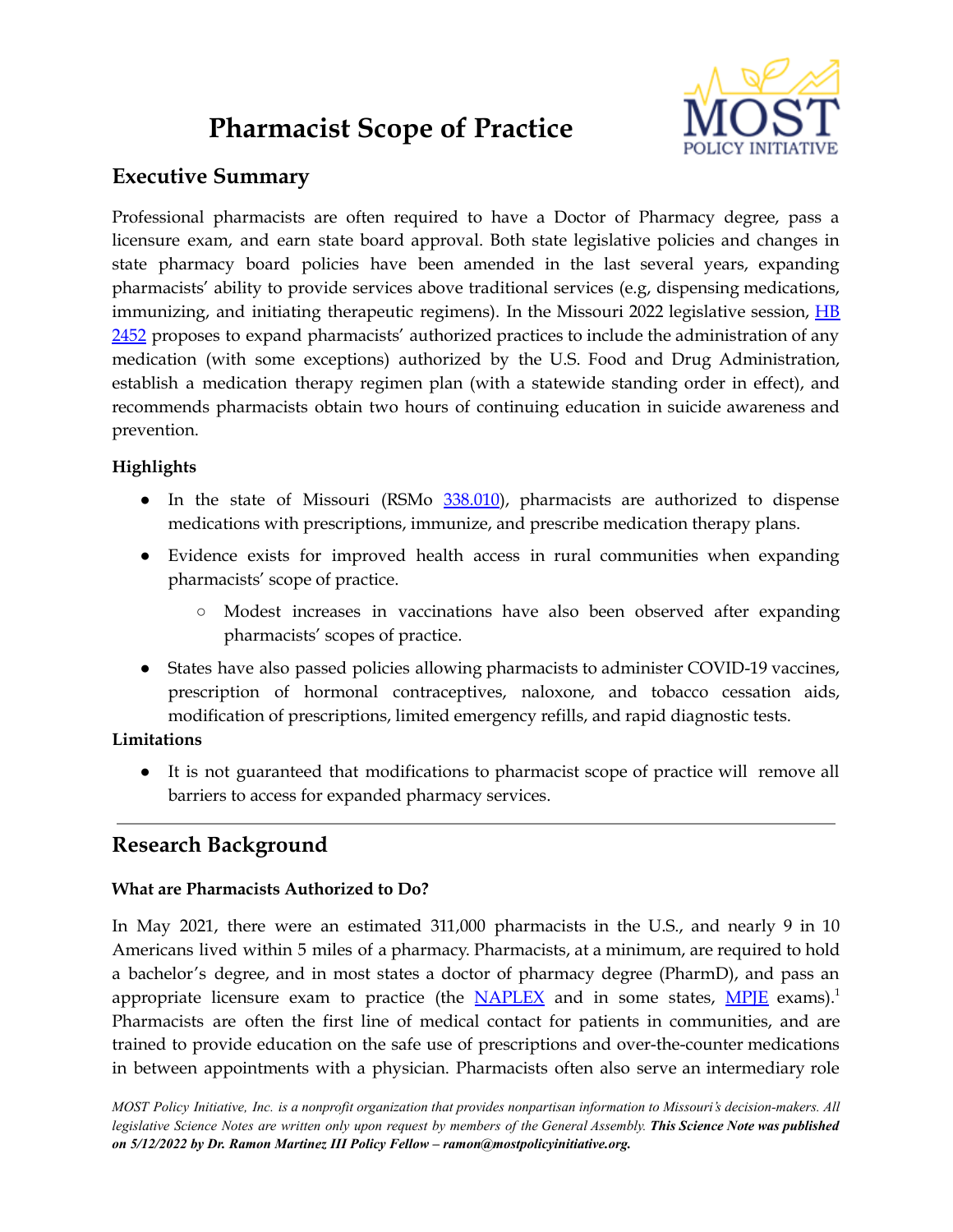# **Pharmacist Scope of Practice**



# **Executive Summary**

Professional pharmacists are often required to have a Doctor of Pharmacy degree, pass a licensure exam, and earn state board approval. Both state legislative policies and changes in state pharmacy board policies have been amended in the last several years, expanding pharmacists' ability to provide services above traditional services (e.g, dispensing medications, immunizing, and initiating therapeutic regimens). In the Missouri 2022 legislative session, [HB](https://house.mo.gov/Bill.aspx?bill=HB2452&year=2022&code=R) [2452](https://house.mo.gov/Bill.aspx?bill=HB2452&year=2022&code=R) proposes to expand pharmacists' authorized practices to include the administration of any medication (with some exceptions) authorized by the U.S. Food and Drug Administration, establish a medication therapy regimen plan (with a statewide standing order in effect), and recommends pharmacists obtain two hours of continuing education in suicide awareness and prevention.

# **Highlights**

- In the state of Missouri (RSMo [338.010](https://revisor.mo.gov/main/OneSection.aspx?section=338.010&bid=35599&hl=)), pharmacists are authorized to dispense medications with prescriptions, immunize, and prescribe medication therapy plans.
- Evidence exists for improved health access in rural communities when expanding pharmacists' scope of practice.
	- Modest increases in vaccinations have also been observed after expanding pharmacists' scopes of practice.
- States have also passed policies allowing pharmacists to administer COVID-19 vaccines, prescription of hormonal contraceptives, naloxone, and tobacco cessation aids, modification of prescriptions, limited emergency refills, and rapid diagnostic tests.

## **Limitations**

● It is not guaranteed that modifications to pharmacist scope of practice will remove all barriers to access for expanded pharmacy services.

# **Research Background**

## **What are Pharmacists Authorized to Do?**

In May 2021, there were an estimated 311,000 pharmacists in the U.S., and nearly 9 in 10 Americans lived within 5 miles of a pharmacy. Pharmacists, at a minimum, are required to hold a bachelor's degree, and in most states a doctor of pharmacy degree (PharmD), and pass an appropriate licensure exam to practice (the [NAPLEX](https://www.aacp.org/resource/naplex) and in some states, [MPJE](https://nabp.pharmacy/programs/examinations/mpje/) exams).<sup>1</sup> Pharmacists are often the first line of medical contact for patients in communities, and are trained to provide education on the safe use of prescriptions and over-the-counter medications in between appointments with a physician. Pharmacists often also serve an intermediary role

MOST Policy Initiative, Inc. is a nonprofit organization that provides nonpartisan information to Missouri's decision-makers. All legislative Science Notes are written only upon request by members of the General Assembly. This Science Note was published *on 5/12/2022 by Dr. Ramon Martinez III Policy Fellow – ramon@mostpolicyinitiative.org.*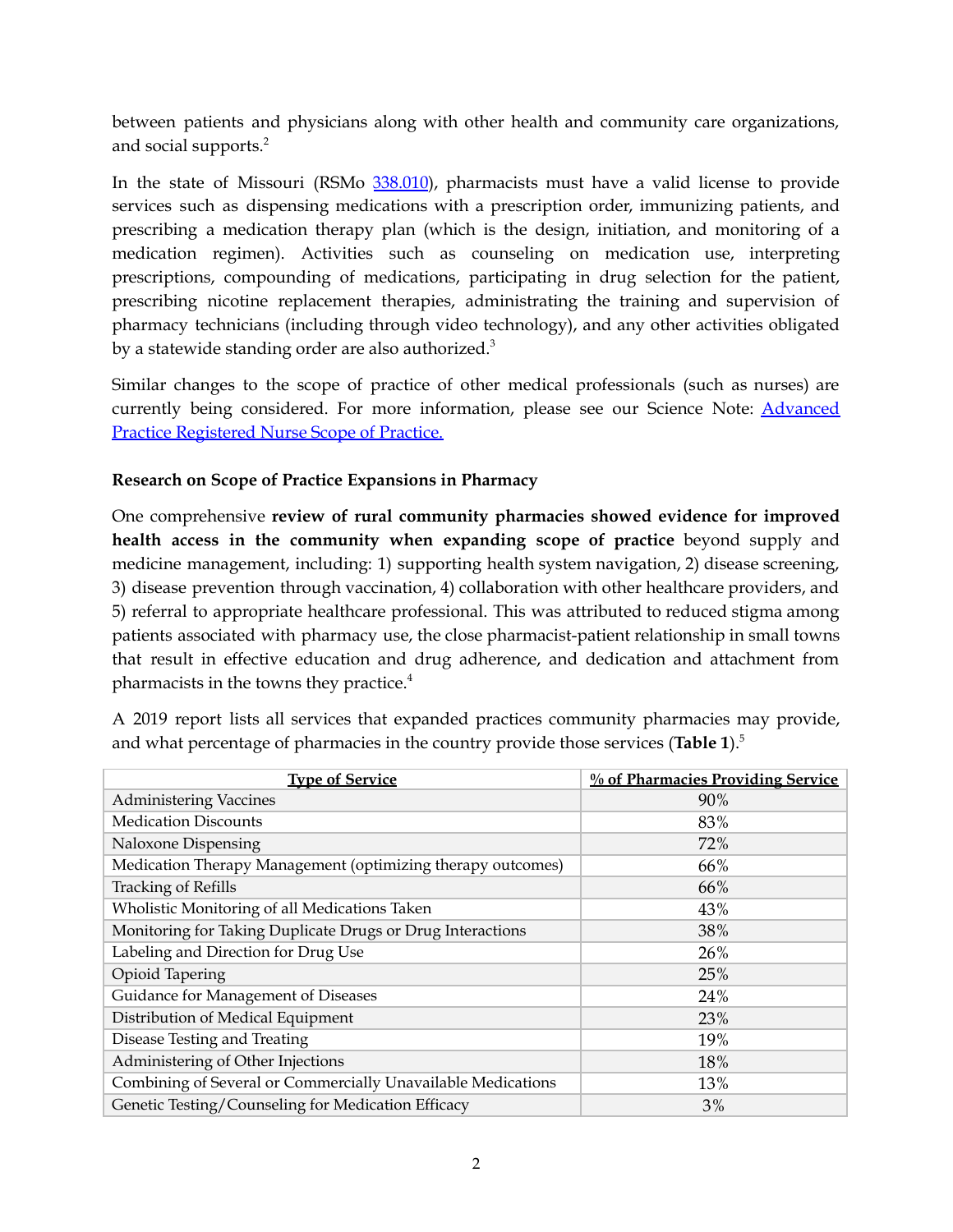between patients and physicians along with other health and community care organizations, and social supports. 2

In the state of Missouri (RSMo [338.010](https://revisor.mo.gov/main/OneSection.aspx?section=338.010&bid=35599&hl=)), pharmacists must have a valid license to provide services such as dispensing medications with a prescription order, immunizing patients, and prescribing a medication therapy plan (which is the design, initiation, and monitoring of a medication regimen). Activities such as counseling on medication use, interpreting prescriptions, compounding of medications, participating in drug selection for the patient, prescribing nicotine replacement therapies, administrating the training and supervision of pharmacy technicians (including through video technology), and any other activities obligated by a statewide standing order are also authorized.<sup>3</sup>

Similar changes to the scope of practice of other medical professionals (such as nurses) are currently being considered. For more information, please see our Science Note: [Advanced](https://mostpolicyinitiative.org/science-note/advanced-practive-registered-nursing-scope-of-practice/) Practice [Registered](https://mostpolicyinitiative.org/science-note/advanced-practive-registered-nursing-scope-of-practice/) Nurse Scope of Practice.

### **Research on Scope of Practice Expansions in Pharmacy**

One comprehensive **review of rural community pharmacies showed evidence for improved health access in the community when expanding scope of practice** beyond supply and medicine management, including: 1) supporting health system navigation, 2) disease screening, 3) disease prevention through vaccination, 4) collaboration with other healthcare providers, and 5) referral to appropriate healthcare professional. This was attributed to reduced stigma among patients associated with pharmacy use, the close pharmacist-patient relationship in small towns that result in effective education and drug adherence, and dedication and attachment from pharmacists in the towns they practice. 4

| <b>Type of Service</b>                                       | <b>% of Pharmacies Providing Service</b> |
|--------------------------------------------------------------|------------------------------------------|
| <b>Administering Vaccines</b>                                | 90%                                      |
| <b>Medication Discounts</b>                                  | 83%                                      |
| Naloxone Dispensing                                          | 72%                                      |
| Medication Therapy Management (optimizing therapy outcomes)  | 66%                                      |
| <b>Tracking of Refills</b>                                   | 66%                                      |
| Wholistic Monitoring of all Medications Taken                | 43%                                      |
| Monitoring for Taking Duplicate Drugs or Drug Interactions   | 38%                                      |
| Labeling and Direction for Drug Use                          | 26%                                      |
| Opioid Tapering                                              | 25%                                      |
| Guidance for Management of Diseases                          | 24%                                      |
| Distribution of Medical Equipment                            | 23%                                      |
| Disease Testing and Treating                                 | 19%                                      |
| Administering of Other Injections                            | 18%                                      |
| Combining of Several or Commercially Unavailable Medications | 13%                                      |
| Genetic Testing/Counseling for Medication Efficacy           | 3%                                       |

A 2019 report lists all services that expanded practices community pharmacies may provide, and what percentage of pharmacies in the country provide those services (**Table 1**). 5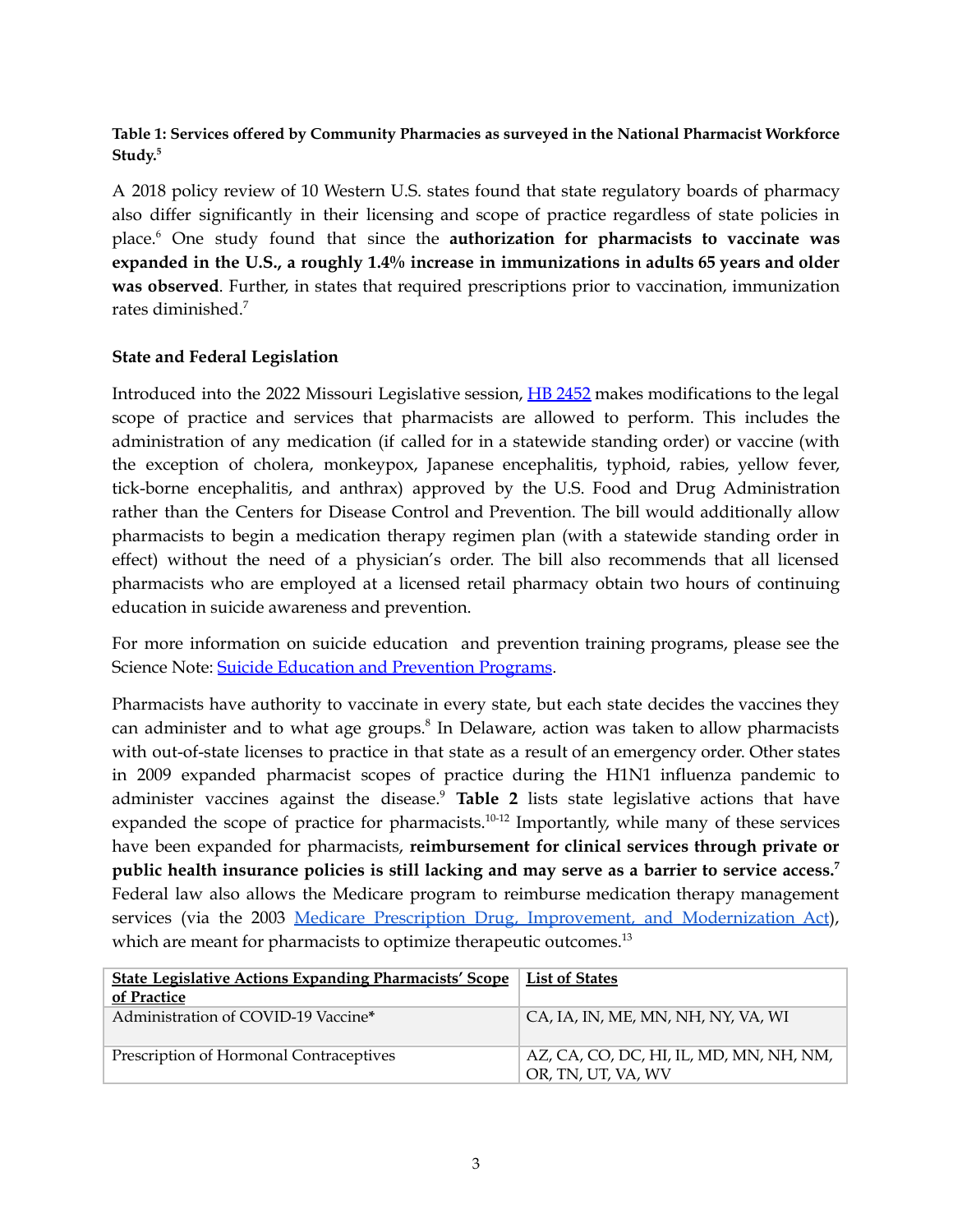#### **Table 1: Services offered by Community Pharmacies as surveyed in the National Pharmacist Workforce Study. 5**

A 2018 policy review of 10 Western U.S. states found that state regulatory boards of pharmacy also differ significantly in their licensing and scope of practice regardless of state policies in place. <sup>6</sup> One study found that since the **authorization for pharmacists to vaccinate was expanded in the U.S., a roughly 1.4% increase in immunizations in adults 65 years and older was observed**. Further, in states that required prescriptions prior to vaccination, immunization rates diminished. 7

#### **State and Federal Legislation**

Introduced into the 2022 Missouri Legislative session, HB [2452](https://house.mo.gov/Bill.aspx?bill=HB2452&year=2022&code=R) makes modifications to the legal scope of practice and services that pharmacists are allowed to perform. This includes the administration of any medication (if called for in a statewide standing order) or vaccine (with the exception of cholera, monkeypox, Japanese encephalitis, typhoid, rabies, yellow fever, tick-borne encephalitis, and anthrax) approved by the U.S. Food and Drug Administration rather than the Centers for Disease Control and Prevention. The bill would additionally allow pharmacists to begin a medication therapy regimen plan (with a statewide standing order in effect) without the need of a physician's order. The bill also recommends that all licensed pharmacists who are employed at a licensed retail pharmacy obtain two hours of continuing education in suicide awareness and prevention.

For more information on suicide education and prevention training programs, please see the Science Note: Suicide Education and [Prevention](https://mostpolicyinitiative.org/science-note/suicide-education-prevention-programs/) Programs.

Pharmacists have authority to vaccinate in every state, but each state decides the vaccines they can administer and to what age groups. 8 In Delaware, action was taken to allow pharmacists with out-of-state licenses to practice in that state as a result of an emergency order. Other states in 2009 expanded pharmacist scopes of practice during the H1N1 influenza pandemic to administer vaccines against the disease. <sup>9</sup> **Table 2** lists state legislative actions that have expanded the scope of practice for pharmacists. $10-12$  Importantly, while many of these services have been expanded for pharmacists, **reimbursement for clinical services through private or public health insurance policies is still lacking and may serve as a barrier to service access. 7** Federal law also allows the Medicare program to reimburse medication therapy management services (via the 2003 Medicare Prescription Drug, Improvement, and [Modernization](https://www.congress.gov/bill/108th-congress/house-bill/1) Act), which are meant for pharmacists to optimize therapeutic outcomes.<sup>13</sup>

| <b>State Legislative Actions Expanding Pharmacists' Scope</b> | List of States                                                |
|---------------------------------------------------------------|---------------------------------------------------------------|
| of Practice                                                   |                                                               |
| Administration of COVID-19 Vaccine*                           | CA, IA, IN, ME, MN, NH, NY, VA, WI                            |
| Prescription of Hormonal Contraceptives                       | AZ, CA, CO, DC, HI, IL, MD, MN, NH, NM,<br>OR, TN, UT, VA, WV |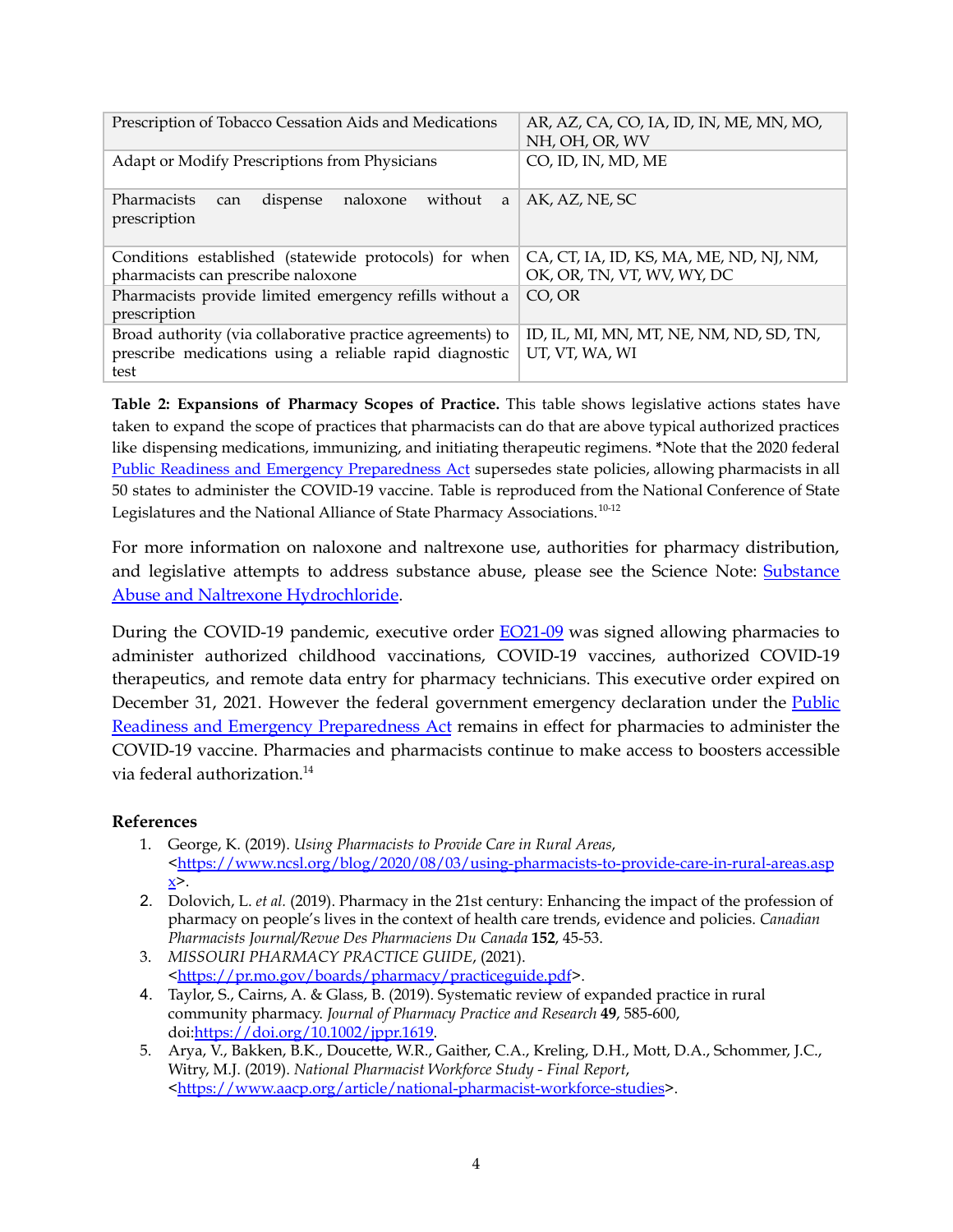| Prescription of Tobacco Cessation Aids and Medications                     | AR, AZ, CA, CO, IA, ID, IN, ME, MN, MO, |
|----------------------------------------------------------------------------|-----------------------------------------|
|                                                                            | NH. OH. OR. WV                          |
| Adapt or Modify Prescriptions from Physicians                              | CO, ID, IN, MD, ME                      |
| naloxone<br>Pharmacists<br>without<br>dispense<br>a<br>can<br>prescription | AK, AZ, NE, SC                          |
| Conditions established (statewide protocols) for when                      | CA, CT, IA, ID, KS, MA, ME, ND, NJ, NM, |
| pharmacists can prescribe naloxone                                         | OK, OR, TN, VT, WV, WY, DC              |
| Pharmacists provide limited emergency refills without a                    | CO, OR                                  |
| prescription                                                               |                                         |
| Broad authority (via collaborative practice agreements) to                 | ID, IL, MI, MN, MT, NE, NM, ND, SD, TN, |
| prescribe medications using a reliable rapid diagnostic                    | UT, VT, WA, WI                          |
| test                                                                       |                                         |

**Table 2: Expansions of Pharmacy Scopes of Practice.** This table shows legislative actions states have taken to expand the scope of practices that pharmacists can do that are above typical authorized practices like dispensing medications, immunizing, and initiating therapeutic regimens. **\***Note that the 2020 federal Public Readiness and Emergency [Preparedness](https://aspr.hhs.gov/legal/PREPact/Pages/default.aspx) Act supersedes state policies, allowing pharmacists in all 50 states to administer the COVID-19 vaccine. Table is reproduced from the National Conference of State Legislatures and the National Alliance of State Pharmacy Associations.<sup>10-12</sup>

For more information on naloxone and naltrexone use, authorities for pharmacy distribution, and legislative attempts to address substance abuse, please see the Science Note: **[Substance](https://mostpolicyinitiative.org/science-note/substance-abuse-naltrexone-hydrochloride/)** Abuse and Naltrexone [Hydrochloride](https://mostpolicyinitiative.org/science-note/substance-abuse-naltrexone-hydrochloride/).

During the COVID-19 pandemic, executive order [EO21-09](https://pr.mo.gov/boards/pharmacy/covid-19/SOE%20Expiration%20III%20BDMeeting%20Review%20Doc.pdf) was signed allowing pharmacies to administer authorized childhood vaccinations, COVID-19 vaccines, authorized COVID-19 therapeutics, and remote data entry for pharmacy technicians. This executive order expired on December 31, 2021. However the federal government emergency declaration under the [Public](https://aspr.hhs.gov/legal/PREPact/Pages/default.aspx) Readiness and Emergency [Preparedness](https://aspr.hhs.gov/legal/PREPact/Pages/default.aspx) Act remains in effect for pharmacies to administer the COVID-19 vaccine. Pharmacies and pharmacists continue to make access to boosters accessible via federal authorization. 14

#### **References**

- 1. George, K. (2019). *Using Pharmacists to Provide Care in Rural Areas*, [<https://www.ncsl.org/blog/2020/08/03/using-pharmacists-to-provide-care-in-rural-areas.asp](https://www.ncsl.org/blog/2020/08/03/using-pharmacists-to-provide-care-in-rural-areas.aspx)  $x >$  $x >$ .
- 2. Dolovich, L. *et al.* (2019). Pharmacy in the 21st century: Enhancing the impact of the profession of pharmacy on people's lives in the context of health care trends, evidence and policies. *Canadian Pharmacists Journal/Revue Des Pharmaciens Du Canada* **152**, 45-53.
- 3. *MISSOURI PHARMACY PRACTICE GUIDE*, (2021). [<https://pr.mo.gov/boards/pharmacy/practiceguide.pdf](https://pr.mo.gov/boards/pharmacy/practiceguide.pdf)>.
- 4. Taylor, S., Cairns, A. & Glass, B. (2019). Systematic review of expanded practice in rural community pharmacy. *Journal of Pharmacy Practice and Research* **49**, 585-600, doi:[https://doi.org/10.1002/jppr.1619.](https://doi.org/10.1002/jppr.1619)
- 5. Arya, V., Bakken, B.K., Doucette, W.R., Gaither, C.A., Kreling, D.H., Mott, D.A., Schommer, J.C., Witry, M.J. (2019). *National Pharmacist Workforce Study - Final Report*, [<https://www.aacp.org/article/national-pharmacist-workforce-studies](https://www.aacp.org/article/national-pharmacist-workforce-studies)>.